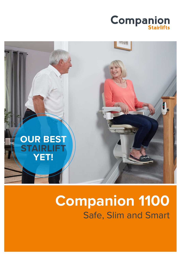



# **Companion 1100** Safe, Slim and Smart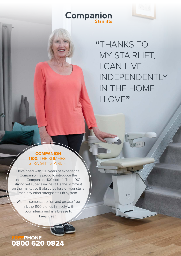# **Companion**



**"**THANKS TO MY STAIRLIFT, I CAN LIVE INDEPENDENTLY IN THE HOME I LOVE**"**

10 le e 11

#### **COMPANION 1100:** THE SLIMMEST STRAIGHT STAIRLIFT

Developed with 130 years of experience, Companion is proud to introduce the unique Companion 1100 stairlift. The 1100's strong yet super slimline rail is the slimmest on the market so it obscures less of your stairs than any other straight stairlift system.

With its compact design and grease free rail, the 1100 blends in nicely with your interior and is a breeze to keep clean.

## **FREEPHONE** 0800 620 0824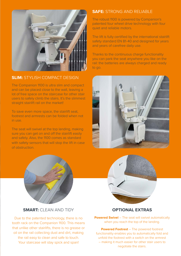

#### **SLIM:** STYLISH COMPACT DESIGN

The Companion 1100 is ultra slim and compact and can be placed close to the wall, leaving a lot of free space on the staircase for other stair users to safely climb the stairs. It's the slimmest straight stairlift rail on the market!

To save even more space, the stairlift seat, footrest and armrests can be folded when not in use.

The seat will swivel at the top landing, making sure you can get on and off the stairlift easily and safely. Also, the 1100 comes as standard with safety sensors that will stop the lift in case of obstruction.



The robust 1100 is powered by Companion's patented four wheel drive technology with four quiet and reliable motors.

The lift is fully certified by the international stairlift safety standard EN 81-40 and designed for years and years of carefree daily use.

Thanks to the continuous charge functionality you can park the seat anywhere you like on the rail: the batteries are always charged and ready to go.







#### **SMART:** CLEAN AND TIDY

Due to the patented technology, there is no tooth rack on the Companion 1100. This means that unlike other stairlifts, there is no grease or oil on the rail collecting dust and dirt, making the rail easy to clean and safe to touch. Your staircase will stay spick and span!

#### **OPTIONAL EXTRAS**

**Powered Swivel** – The seat will swivel automatically when you reach the top of the landing.

**Powered Footrest** – The powered footrest functionality enables you to automatically fold and unfold the footrest with a switch on the armrest – making it much easier for other stair users to negotiate the stairs.